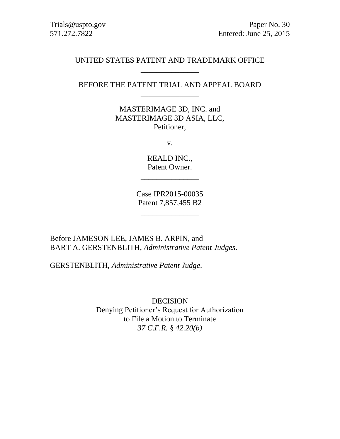## UNITED STATES PATENT AND TRADEMARK OFFICE \_\_\_\_\_\_\_\_\_\_\_\_\_\_\_

# BEFORE THE PATENT TRIAL AND APPEAL BOARD \_\_\_\_\_\_\_\_\_\_\_\_\_\_\_

MASTERIMAGE 3D, INC. and MASTERIMAGE 3D ASIA, LLC, Petitioner,

v.

REALD INC., Patent Owner.

\_\_\_\_\_\_\_\_\_\_\_\_\_\_\_

Case IPR2015-00035 Patent 7,857,455 B2

\_\_\_\_\_\_\_\_\_\_\_\_\_\_\_

Before JAMESON LEE, JAMES B. ARPIN, and BART A. GERSTENBLITH, *Administrative Patent Judges*.

GERSTENBLITH, *Administrative Patent Judge*.

DECISION Denying Petitioner's Request for Authorization to File a Motion to Terminate *37 C.F.R. § 42.20(b)*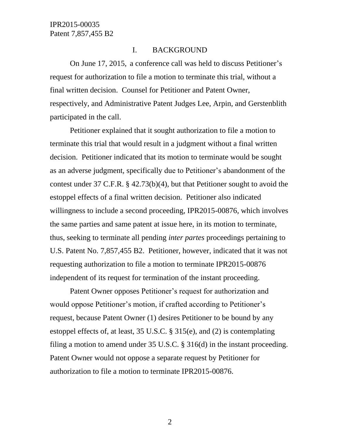## I. BACKGROUND

On June 17, 2015, a conference call was held to discuss Petitioner's request for authorization to file a motion to terminate this trial, without a final written decision. Counsel for Petitioner and Patent Owner, respectively, and Administrative Patent Judges Lee, Arpin, and Gerstenblith participated in the call.

Petitioner explained that it sought authorization to file a motion to terminate this trial that would result in a judgment without a final written decision. Petitioner indicated that its motion to terminate would be sought as an adverse judgment, specifically due to Petitioner's abandonment of the contest under 37 C.F.R. § 42.73(b)(4), but that Petitioner sought to avoid the estoppel effects of a final written decision. Petitioner also indicated willingness to include a second proceeding, IPR2015-00876, which involves the same parties and same patent at issue here, in its motion to terminate, thus, seeking to terminate all pending *inter partes* proceedings pertaining to U.S. Patent No. 7,857,455 B2. Petitioner, however, indicated that it was not requesting authorization to file a motion to terminate IPR2015-00876 independent of its request for termination of the instant proceeding.

Patent Owner opposes Petitioner's request for authorization and would oppose Petitioner's motion, if crafted according to Petitioner's request, because Patent Owner (1) desires Petitioner to be bound by any estoppel effects of, at least, 35 U.S.C. § 315(e), and (2) is contemplating filing a motion to amend under 35 U.S.C. § 316(d) in the instant proceeding. Patent Owner would not oppose a separate request by Petitioner for authorization to file a motion to terminate IPR2015-00876.

2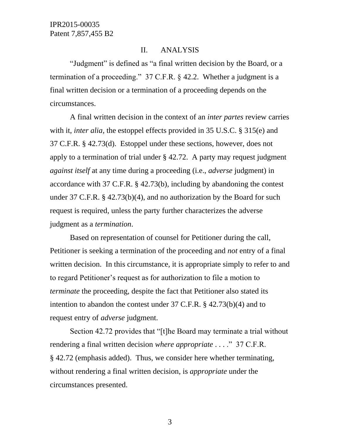#### II. ANALYSIS

"Judgment" is defined as "a final written decision by the Board, or a termination of a proceeding." 37 C.F.R. § 42.2. Whether a judgment is a final written decision or a termination of a proceeding depends on the circumstances.

A final written decision in the context of an *inter partes* review carries with it, *inter alia*, the estoppel effects provided in 35 U.S.C. § 315(e) and 37 C.F.R. § 42.73(d). Estoppel under these sections, however, does not apply to a termination of trial under § 42.72. A party may request judgment *against itself* at any time during a proceeding (i.e., *adverse* judgment) in accordance with 37 C.F.R. § 42.73(b), including by abandoning the contest under 37 C.F.R. § 42.73(b)(4), and no authorization by the Board for such request is required, unless the party further characterizes the adverse judgment as a *termination*.

Based on representation of counsel for Petitioner during the call, Petitioner is seeking a termination of the proceeding and *not* entry of a final written decision. In this circumstance, it is appropriate simply to refer to and to regard Petitioner's request as for authorization to file a motion to *terminate* the proceeding, despite the fact that Petitioner also stated its intention to abandon the contest under 37 C.F.R. § 42.73(b)(4) and to request entry of *adverse* judgment.

Section 42.72 provides that "[t]he Board may terminate a trial without rendering a final written decision *where appropriate* . . . ." 37 C.F.R. § 42.72 (emphasis added). Thus, we consider here whether terminating, without rendering a final written decision, is *appropriate* under the circumstances presented.

3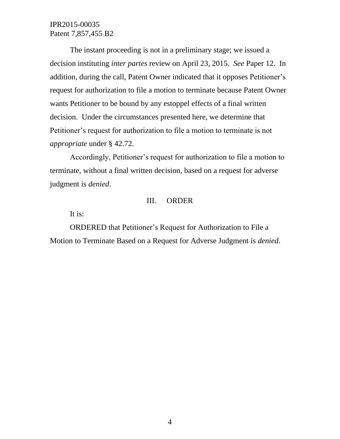IPR2015-00035 Patent 7,857,455 B2

The instant proceeding is not in a preliminary stage; we issued a decision instituting *inter partes* review on April 23, 2015. *See* Paper 12. In addition, during the call, Patent Owner indicated that it opposes Petitioner's request for authorization to file a motion to terminate because Patent Owner wants Petitioner to be bound by any estoppel effects of a final written decision. Under the circumstances presented here, we determine that Petitioner's request for authorization to file a motion to terminate is not *appropriate* under § 42.72.

Accordingly, Petitioner's request for authorization to file a motion to terminate, without a final written decision, based on a request for adverse judgment is *denied*.

#### III. ORDER

It is:

ORDERED that Petitioner's Request for Authorization to File a Motion to Terminate Based on a Request for Adverse Judgment is *denied*.